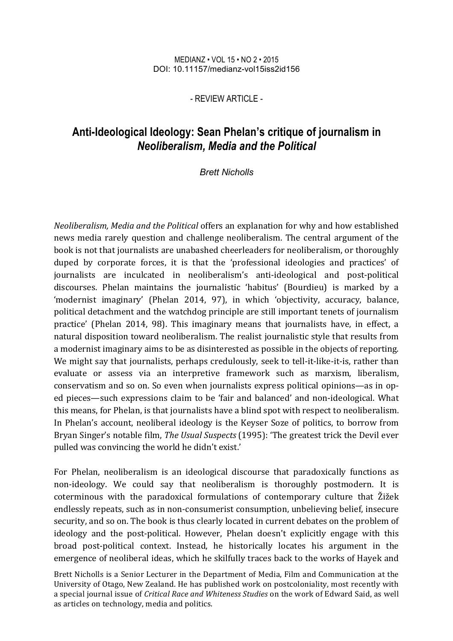#### MEDIANZ • VOL 15 • NO 2 • 2015 DOI: 10.11157/medianz-vol15iss2id156

- REVIEW ARTICLE -

# **Anti-Ideological Ideology: Sean Phelan's critique of journalism in**  *Neoliberalism, Media and the Political*

### *Brett Nicholls*

*Neoliberalism, Media and the Political* offers an explanation for why and how established news media rarely question and challenge neoliberalism. The central argument of the book is not that journalists are unabashed cheerleaders for neoliberalism, or thoroughly duped by corporate forces, it is that the 'professional ideologies and practices' of journalists are inculcated in neoliberalism's anti-ideological and post-political discourses. Phelan maintains the journalistic 'habitus' (Bourdieu) is marked by a 'modernist imaginary' (Phelan 2014, 97), in which 'objectivity, accuracy, balance, political detachment and the watchdog principle are still important tenets of journalism practice' (Phelan 2014, 98). This imaginary means that journalists have, in effect, a natural disposition toward neoliberalism. The realist journalistic style that results from a modernist imaginary aims to be as disinterested as possible in the objects of reporting. We might say that journalists, perhaps credulously, seek to tell-it-like-it-is, rather than evaluate or assess via an interpretive framework such as marxism, liberalism, conservatism and so on. So even when journalists express political opinions—as in oped pieces—such expressions claim to be 'fair and balanced' and non-ideological. What this means, for Phelan, is that journalists have a blind spot with respect to neoliberalism. In Phelan's account, neoliberal ideology is the Keyser Soze of politics, to borrow from Bryan Singer's notable film, *The Usual Suspects* (1995): 'The greatest trick the Devil ever pulled was convincing the world he didn't exist.'

For Phelan, neoliberalism is an ideological discourse that paradoxically functions as non-ideology. We could say that neoliberalism is thoroughly postmodern. It is coterminous with the paradoxical formulations of contemporary culture that Žižek endlessly repeats, such as in non-consumerist consumption, unbelieving belief, insecure security, and so on. The book is thus clearly located in current debates on the problem of ideology and the post-political. However, Phelan doesn't explicitly engage with this broad post-political context. Instead, he historically locates his argument in the emergence of neoliberal ideas, which he skilfully traces back to the works of Hayek and

Brett Nicholls is a Senior Lecturer in the Department of Media, Film and Communication at the University of Otago, New Zealand. He has published work on postcoloniality, most recently with a special journal issue of *Critical Race and Whiteness Studies* on the work of Edward Said, as well as articles on technology, media and politics.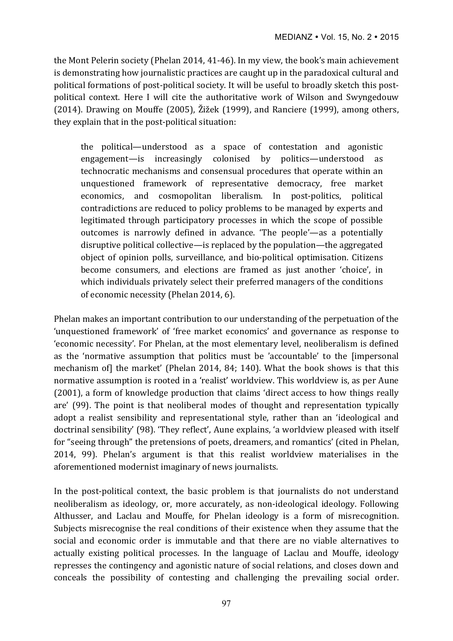the Mont Pelerin society (Phelan 2014, 41-46). In my view, the book's main achievement is demonstrating how journalistic practices are caught up in the paradoxical cultural and political formations of post-political society. It will be useful to broadly sketch this postpolitical context. Here I will cite the authoritative work of Wilson and Swyngedouw  $(2014)$ . Drawing on Mouffe  $(2005)$ , Žižek  $(1999)$ , and Ranciere  $(1999)$ , among others, they explain that in the post-political situation:

the political—understood as a space of contestation and agonistic engagement—is increasingly colonised by politics—understood as technocratic mechanisms and consensual procedures that operate within an unquestioned framework of representative democracy, free market economics, and cosmopolitan liberalism. In post-politics, political contradictions are reduced to policy problems to be managed by experts and legitimated through participatory processes in which the scope of possible outcomes is narrowly defined in advance. The people'—as a potentially disruptive political collective—is replaced by the population—the aggregated object of opinion polls, surveillance, and bio-political optimisation. Citizens become consumers, and elections are framed as just another 'choice', in which individuals privately select their preferred managers of the conditions of economic necessity (Phelan 2014, 6).

Phelan makes an important contribution to our understanding of the perpetuation of the 'unquestioned framework' of 'free market economics' and governance as response to 'economic necessity'. For Phelan, at the most elementary level, neoliberalism is defined as the 'normative assumption that politics must be 'accountable' to the [impersonal mechanism of] the market' (Phelan 2014, 84; 140). What the book shows is that this normative assumption is rooted in a 'realist' worldview. This worldview is, as per Aune  $(2001)$ , a form of knowledge production that claims 'direct access to how things really are' (99). The point is that neoliberal modes of thought and representation typically adopt a realist sensibility and representational style, rather than an 'ideological and doctrinal sensibility' (98). 'They reflect', Aune explains, 'a worldview pleased with itself for "seeing through" the pretensions of poets, dreamers, and romantics' (cited in Phelan, 2014, 99). Phelan's argument is that this realist worldview materialises in the aforementioned modernist imaginary of news journalists.

In the post-political context, the basic problem is that journalists do not understand neoliberalism as ideology, or, more accurately, as non-ideological ideology. Following Althusser, and Laclau and Mouffe, for Phelan ideology is a form of misrecognition. Subjects misrecognise the real conditions of their existence when they assume that the social and economic order is immutable and that there are no viable alternatives to actually existing political processes. In the language of Laclau and Mouffe, ideology represses the contingency and agonistic nature of social relations, and closes down and conceals the possibility of contesting and challenging the prevailing social order.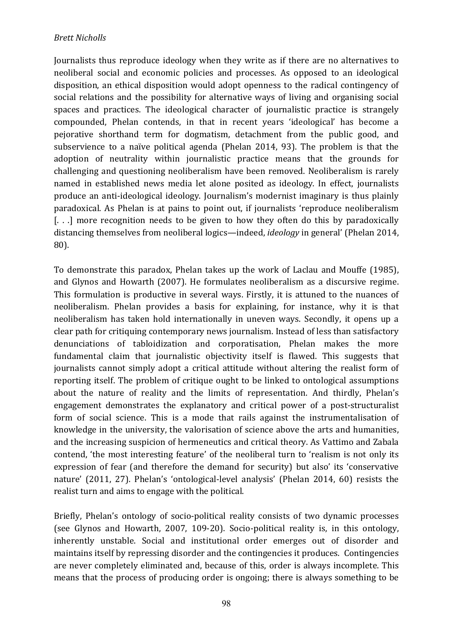## *Brett Nicholls*

Journalists thus reproduce ideology when they write as if there are no alternatives to neoliberal social and economic policies and processes. As opposed to an ideological disposition, an ethical disposition would adopt openness to the radical contingency of social relations and the possibility for alternative ways of living and organising social spaces and practices. The ideological character of journalistic practice is strangely compounded, Phelan contends, in that in recent years 'ideological' has become a pejorative shorthand term for dogmatism, detachment from the public good, and subservience to a naïve political agenda (Phelan 2014, 93). The problem is that the adoption of neutrality within journalistic practice means that the grounds for challenging and questioning neoliberalism have been removed. Neoliberalism is rarely named in established news media let alone posited as ideology. In effect, journalists produce an anti-ideological ideology. Journalism's modernist imaginary is thus plainly paradoxical. As Phelan is at pains to point out, if journalists 'reproduce neoliberalism  $[$ ...] more recognition needs to be given to how they often do this by paradoxically distancing themselves from neoliberal logics—indeed, *ideology* in general' (Phelan 2014, 80).

To demonstrate this paradox, Phelan takes up the work of Laclau and Mouffe (1985), and Glynos and Howarth (2007). He formulates neoliberalism as a discursive regime. This formulation is productive in several ways. Firstly, it is attuned to the nuances of neoliberalism. Phelan provides a basis for explaining, for instance, why it is that neoliberalism has taken hold internationally in uneven ways. Secondly, it opens up a clear path for critiquing contemporary news journalism. Instead of less than satisfactory denunciations of tabloidization and corporatisation, Phelan makes the more fundamental claim that journalistic objectivity itself is flawed. This suggests that journalists cannot simply adopt a critical attitude without altering the realist form of reporting itself. The problem of critique ought to be linked to ontological assumptions about the nature of reality and the limits of representation. And thirdly, Phelan's engagement demonstrates the explanatory and critical power of a post-structuralist form of social science. This is a mode that rails against the instrumentalisation of knowledge in the university, the valorisation of science above the arts and humanities, and the increasing suspicion of hermeneutics and critical theory. As Vattimo and Zabala contend, 'the most interesting feature' of the neoliberal turn to 'realism is not only its expression of fear (and therefore the demand for security) but also' its 'conservative nature' (2011, 27). Phelan's 'ontological-level analysis' (Phelan 2014, 60) resists the realist turn and aims to engage with the political.

Briefly, Phelan's ontology of socio-political reality consists of two dynamic processes (see Glynos and Howarth, 2007, 109-20). Socio-political reality is, in this ontology, inherently unstable. Social and institutional order emerges out of disorder and maintains itself by repressing disorder and the contingencies it produces. Contingencies are never completely eliminated and, because of this, order is always incomplete. This means that the process of producing order is ongoing; there is always something to be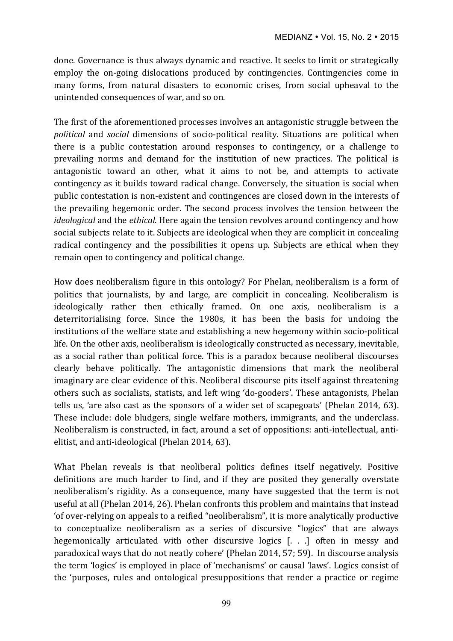done. Governance is thus always dynamic and reactive. It seeks to limit or strategically employ the on-going dislocations produced by contingencies. Contingencies come in many forms, from natural disasters to economic crises, from social upheaval to the unintended consequences of war, and so on.

The first of the aforementioned processes involves an antagonistic struggle between the *political* and *social* dimensions of socio-political reality. Situations are political when there is a public contestation around responses to contingency, or a challenge to prevailing norms and demand for the institution of new practices. The political is antagonistic toward an other, what it aims to not be, and attempts to activate contingency as it builds toward radical change. Conversely, the situation is social when public contestation is non-existent and contingences are closed down in the interests of the prevailing hegemonic order. The second process involves the tension between the *ideological* and the *ethical*. Here again the tension revolves around contingency and how social subjects relate to it. Subjects are ideological when they are complicit in concealing radical contingency and the possibilities it opens up. Subjects are ethical when they remain open to contingency and political change.

How does neoliberalism figure in this ontology? For Phelan, neoliberalism is a form of politics that journalists, by and large, are complicit in concealing. Neoliberalism is ideologically rather then ethically framed. On one axis, neoliberalism is a deterritorialising force. Since the 1980s, it has been the basis for undoing the institutions of the welfare state and establishing a new hegemony within socio-political life. On the other axis, neoliberalism is ideologically constructed as necessary, inevitable, as a social rather than political force. This is a paradox because neoliberal discourses clearly behave politically. The antagonistic dimensions that mark the neoliberal imaginary are clear evidence of this. Neoliberal discourse pits itself against threatening others such as socialists, statists, and left wing 'do-gooders'. These antagonists, Phelan tells us, 'are also cast as the sponsors of a wider set of scapegoats' (Phelan 2014, 63). These include: dole bludgers, single welfare mothers, immigrants, and the underclass. Neoliberalism is constructed, in fact, around a set of oppositions: anti-intellectual, antielitist, and anti-ideological (Phelan 2014, 63).

What Phelan reveals is that neoliberal politics defines itself negatively. Positive definitions are much harder to find, and if they are posited they generally overstate neoliberalism's rigidity. As a consequence, many have suggested that the term is not useful at all (Phelan 2014, 26). Phelan confronts this problem and maintains that instead ' of over-relying on appeals to a reified "neoliberalism", it is more analytically productive to conceptualize neoliberalism as a series of discursive "logics" that are always hegemonically articulated with other discursive logics  $[$ . . . often in messy and paradoxical ways that do not neatly cohere' (Phelan 2014, 57; 59). In discourse analysis the term 'logics' is employed in place of 'mechanisms' or causal 'laws'. Logics consist of the 'purposes, rules and ontological presuppositions that render a practice or regime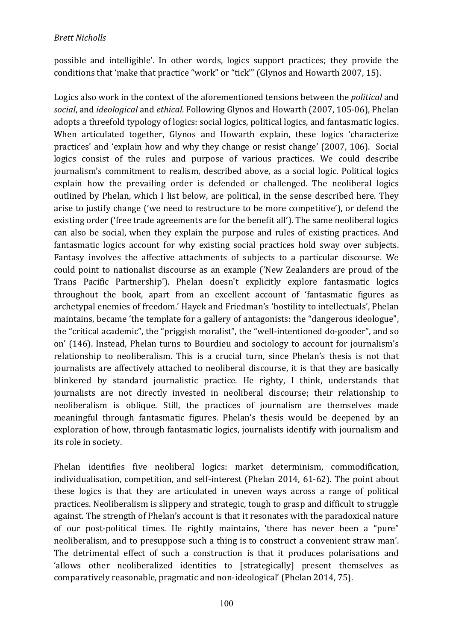possible and intelligible'. In other words, logics support practices; they provide the conditions that 'make that practice "work" or "tick"' (Glynos and Howarth 2007, 15).

Logics also work in the context of the aforementioned tensions between the *political* and *social*, and *ideological* and *ethical*. Following Glynos and Howarth (2007, 105-06), Phelan adopts a threefold typology of logics: social logics, political logics, and fantasmatic logics. When articulated together, Glynos and Howarth explain, these logics 'characterize practices' and 'explain how and why they change or resist change' (2007, 106). Social logics consist of the rules and purpose of various practices. We could describe journalism's commitment to realism, described above, as a social logic. Political logics explain how the prevailing order is defended or challenged. The neoliberal logics outlined by Phelan, which I list below, are political, in the sense described here. They arise to justify change ('we need to restructure to be more competitive'), or defend the existing order ('free trade agreements are for the benefit all'). The same neoliberal logics can also be social, when they explain the purpose and rules of existing practices. And fantasmatic logics account for why existing social practices hold sway over subjects. Fantasy involves the affective attachments of subjects to a particular discourse. We could point to nationalist discourse as an example ('New Zealanders are proud of the Trans Pacific Partnership'). Phelan doesn't explicitly explore fantasmatic logics throughout the book, apart from an excellent account of 'fantasmatic figures as archetypal enemies of freedom.' Hayek and Friedman's 'hostility to intellectuals', Phelan maintains, became 'the template for a gallery of antagonists: the "dangerous ideologue", the "critical academic", the "priggish moralist", the "well-intentioned do-gooder", and so on' (146). Instead, Phelan turns to Bourdieu and sociology to account for journalism's relationship to neoliberalism. This is a crucial turn, since Phelan's thesis is not that journalists are affectively attached to neoliberal discourse, it is that they are basically blinkered by standard journalistic practice. He righty, I think, understands that journalists are not directly invested in neoliberal discourse; their relationship to neoliberalism is oblique. Still, the practices of iournalism are themselves made meaningful through fantasmatic figures. Phelan's thesis would be deepened by an exploration of how, through fantasmatic logics, journalists identify with journalism and its role in society.

Phelan identifies five neoliberal logics: market determinism, commodification, individualisation, competition, and self-interest (Phelan 2014, 61-62). The point about these logics is that they are articulated in uneven ways across a range of political practices. Neoliberalism is slippery and strategic, tough to grasp and difficult to struggle against. The strength of Phelan's account is that it resonates with the paradoxical nature of our post-political times. He rightly maintains, 'there has never been a "pure" neoliberalism, and to presuppose such a thing is to construct a convenient straw man'. The detrimental effect of such a construction is that it produces polarisations and 'allows other neoliberalized identities to [strategically] present themselves as comparatively reasonable, pragmatic and non-ideological' (Phelan 2014, 75).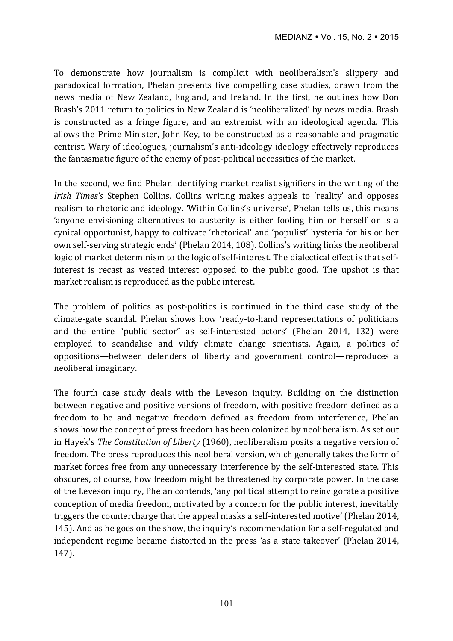To demonstrate how journalism is complicit with neoliberalism's slippery and paradoxical formation, Phelan presents five compelling case studies, drawn from the news media of New Zealand, England, and Ireland. In the first, he outlines how Don Brash's 2011 return to politics in New Zealand is 'neoliberalized' by news media. Brash is constructed as a fringe figure, and an extremist with an ideological agenda. This allows the Prime Minister, John Key, to be constructed as a reasonable and pragmatic centrist. Wary of ideologues, journalism's anti-ideology ideology effectively reproduces the fantasmatic figure of the enemy of post-political necessities of the market.

In the second, we find Phelan identifying market realist signifiers in the writing of the *Irish Times's* Stephen Collins. Collins writing makes appeals to 'reality' and opposes realism to rhetoric and ideology. 'Within Collins's universe', Phelan tells us, this means 'anyone envisioning alternatives to austerity is either fooling him or herself or is a cynical opportunist, happy to cultivate 'rhetorical' and 'populist' hysteria for his or her own self-serving strategic ends' (Phelan 2014, 108). Collins's writing links the neoliberal logic of market determinism to the logic of self-interest. The dialectical effect is that selfinterest is recast as vested interest opposed to the public good. The upshot is that market realism is reproduced as the public interest.

The problem of politics as post-politics is continued in the third case study of the climate-gate scandal. Phelan shows how 'ready-to-hand representations of politicians and the entire "public sector" as self-interested actors' (Phelan 2014, 132) were employed to scandalise and vilify climate change scientists. Again, a politics of oppositions—between defenders of liberty and government control—reproduces a neoliberal imaginary.

The fourth case study deals with the Leveson inquiry. Building on the distinction between negative and positive versions of freedom, with positive freedom defined as a freedom to be and negative freedom defined as freedom from interference, Phelan shows how the concept of press freedom has been colonized by neoliberalism. As set out in Hayek's *The Constitution of Liberty* (1960), neoliberalism posits a negative version of freedom. The press reproduces this neoliberal version, which generally takes the form of market forces free from any unnecessary interference by the self-interested state. This obscures, of course, how freedom might be threatened by corporate power. In the case of the Leveson inquiry, Phelan contends, 'any political attempt to reinvigorate a positive conception of media freedom, motivated by a concern for the public interest, inevitably triggers the countercharge that the appeal masks a self-interested motive' (Phelan 2014, 145). And as he goes on the show, the inquiry's recommendation for a self-regulated and independent regime became distorted in the press 'as a state takeover' (Phelan 2014, 147).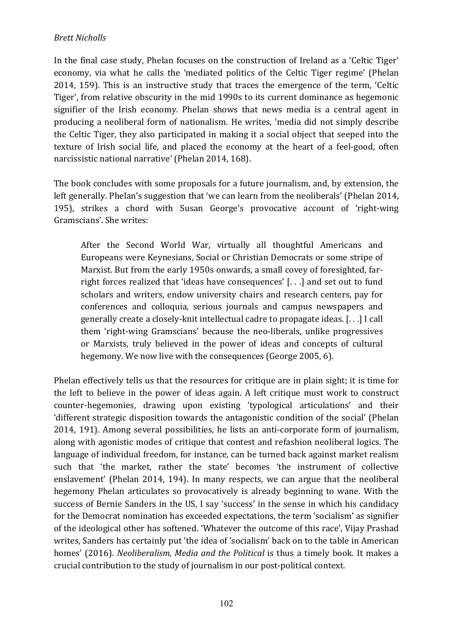# *Brett Nicholls*

In the final case study, Phelan focuses on the construction of Ireland as a 'Celtic Tiger' economy, via what he calls the 'mediated politics of the Celtic Tiger regime' (Phelan 2014, 159). This is an instructive study that traces the emergence of the term, 'Celtic Tiger', from relative obscurity in the mid 1990s to its current dominance as hegemonic signifier of the Irish economy. Phelan shows that news media is a central agent in producing a neoliberal form of nationalism. He writes, 'media did not simply describe the Celtic Tiger, they also participated in making it a social object that seeped into the texture of Irish social life, and placed the economy at the heart of a feel-good, often narcissistic national narrative' (Phelan 2014, 168).

The book concludes with some proposals for a future journalism, and, by extension, the left generally. Phelan's suggestion that 'we can learn from the neoliberals' (Phelan 2014, 195), strikes a chord with Susan George's provocative account of 'right-wing Gramscians'. She writes:

After the Second World War, virtually all thoughtful Americans and Europeans were Keynesians, Social or Christian Democrats or some stripe of Marxist. But from the early 1950s onwards, a small covey of foresighted, farright forces realized that 'ideas have consequences'  $[...]$  and set out to fund scholars and writers, endow university chairs and research centers, pay for conferences and colloquia, serious journals and campus newspapers and generally create a closely-knit intellectual cadre to propagate ideas.  $[...]$  I call them 'right-wing Gramscians' because the neo-liberals, unlike progressives or Marxists, truly believed in the power of ideas and concepts of cultural hegemony. We now live with the consequences (George 2005, 6).

Phelan effectively tells us that the resources for critique are in plain sight; it is time for the left to believe in the power of ideas again. A left critique must work to construct counter-hegemonies, drawing upon existing 'typological articulations' and their 'different strategic disposition towards the antagonistic condition of the social' (Phelan 2014, 191). Among several possibilities, he lists an anti-corporate form of journalism, along with agonistic modes of critique that contest and refashion neoliberal logics. The language of individual freedom, for instance, can be turned back against market realism such that 'the market, rather the state' becomes 'the instrument of collective enslavement' (Phelan 2014, 194). In many respects, we can argue that the neoliberal hegemony Phelan articulates so provocatively is already beginning to wane. With the success of Bernie Sanders in the US, I say 'success' in the sense in which his candidacy for the Democrat nomination has exceeded expectations, the term 'socialism' as signifier of the ideological other has softened. 'Whatever the outcome of this race', Vijay Prashad writes, Sanders has certainly put 'the idea of 'socialism' back on to the table in American homes' (2016). *Neoliberalism, Media and the Political* is thus a timely book. It makes a crucial contribution to the study of journalism in our post-political context.